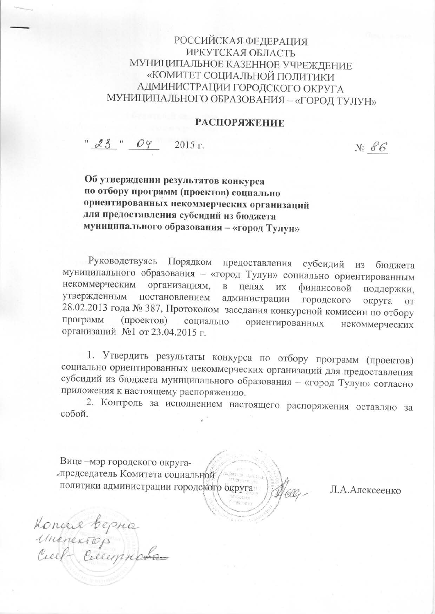## РОССИЙСКАЯ ФЕДЕРАЦИЯ **ИРКУТСКАЯ ОБЛАСТЬ** МУНИЦИПАЛЬНОЕ КАЗЕННОЕ УЧРЕЖДЕНИЕ «КОМИТЕТ СОЦИАЛЬНОЙ ПОЛИТИКИ АДМИНИСТРАЦИИ ГОРОДСКОГО ОКРУГА МУНИЦИПАЛЬНОГО ОБРАЗОВАНИЯ - «ГОРОД ТУЛУН»

## **РАСПОРЯЖЕНИЕ**

 $" 23" 04"$ 2015 г.

 $N_2$   $86$ 

Об утверждении результатов конкурса по отбору программ (проектов) социально ориентированных некоммерческих организаций для предоставления субсидий из бюджета муниципального образования - «город Тулун»

Руководствуясь Порядком предоставления субсидий **ИЗ** бюджета муниципального образования - «город Тулун» социально ориентированным некоммерческим организациям, в целях их финансовой поддержки, утвержденным постановлением администрации городского округа OT 28.02.2013 года № 387, Протоколом заседания конкурсной комиссии по отбору программ (проектов) социально ориентированных некоммерческих организаций №1 от 23.04.2015 г.

1. Утвердить результаты конкурса по отбору программ (проектов) социально ориентированных некоммерческих организаций для предоставления субсидий из бюджета муниципального образования - «город Тулун» согласно приложения к настоящему распоряжению.

2. Контроль за исполнением настоящего распоряжения оставляю за собой.

Вице - мэр городского округапредседатель Комитета социальной политики администрации городского округа falls

Л.А.Алексеенко

Koncere bepro